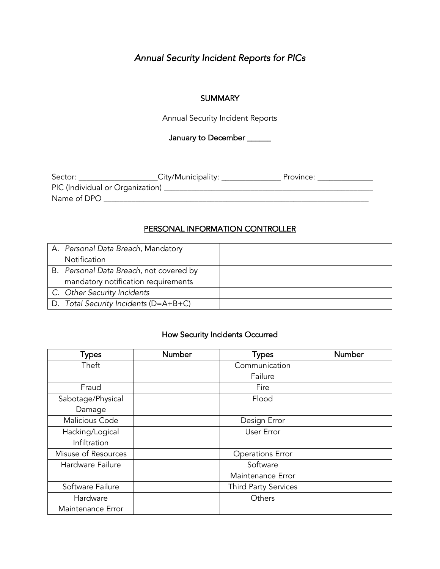# *Annual Security Incident Reports for PICs*

#### **SUMMARY**

Annual Security Incident Reports

January to December \_\_\_\_\_\_

| Sector:                          | _City/Municipality: _ | Province: |
|----------------------------------|-----------------------|-----------|
| PIC (Individual or Organization) |                       |           |
| Name of DPO                      |                       |           |

### PERSONAL INFORMATION CONTROLLER

| A. Personal Data Breach, Mandatory      |  |
|-----------------------------------------|--|
| Notification                            |  |
| B. Personal Data Breach, not covered by |  |
| mandatory notification requirements     |  |
| C. Other Security Incidents             |  |
| D. Total Security Incidents (D=A+B+C)   |  |

## How Security Incidents Occurred

| <b>Types</b>        | Number | <b>Types</b>                | Number |
|---------------------|--------|-----------------------------|--------|
| Theft               |        | Communication               |        |
|                     |        | Failure                     |        |
| Fraud               |        | Fire                        |        |
| Sabotage/Physical   |        | Flood                       |        |
| Damage              |        |                             |        |
| Malicious Code      |        | Design Error                |        |
| Hacking/Logical     |        | User Error                  |        |
| Infiltration        |        |                             |        |
| Misuse of Resources |        | <b>Operations Error</b>     |        |
| Hardware Failure    |        | Software                    |        |
|                     |        | Maintenance Error           |        |
| Software Failure    |        | <b>Third Party Services</b> |        |
| Hardware            |        | Others                      |        |
| Maintenance Error   |        |                             |        |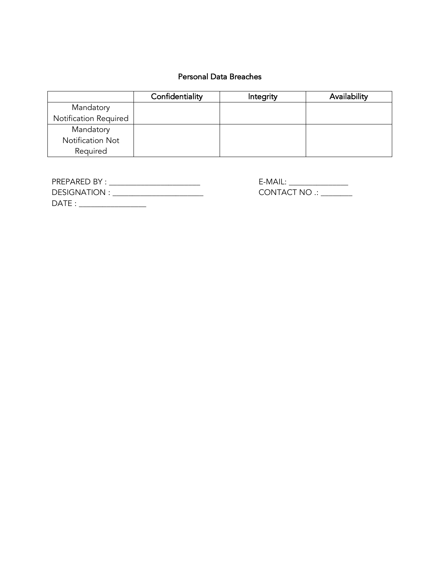## Personal Data Breaches

|                       | Confidentiality | Integrity | Availability |
|-----------------------|-----------------|-----------|--------------|
| Mandatory             |                 |           |              |
| Notification Required |                 |           |              |
| Mandatory             |                 |           |              |
| Notification Not      |                 |           |              |
| Required              |                 |           |              |

| PRFPARFDBY:         | $F-MAll:$     |
|---------------------|---------------|
| <b>DESIGNATION:</b> | CONTACT NO .: |
| DATE :              |               |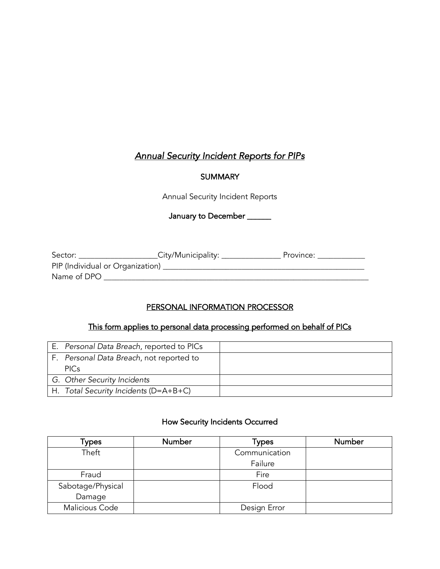# *Annual Security Incident Reports for PIPs*

## **SUMMARY**

Annual Security Incident Reports

January to December \_\_\_\_\_\_

| Sector:                          | City/Municipality: | Province: |
|----------------------------------|--------------------|-----------|
| PIP (Individual or Organization) |                    |           |
| Name of DPO                      |                    |           |

# PERSONAL INFORMATION PROCESSOR

## This form applies to personal data processing performed on behalf of PICs

| E. Personal Data Breach, reported to PICs |  |
|-------------------------------------------|--|
| F. Personal Data Breach, not reported to  |  |
| <b>PICs</b>                               |  |
| G. Other Security Incidents               |  |
| H. Total Security Incidents (D=A+B+C)     |  |

#### How Security Incidents Occurred

| Types             | Number | Types         | Number |
|-------------------|--------|---------------|--------|
| Theft             |        | Communication |        |
|                   |        | Failure       |        |
| Fraud             |        | Fire          |        |
| Sabotage/Physical |        | Flood         |        |
| Damage            |        |               |        |
| Malicious Code    |        | Design Error  |        |